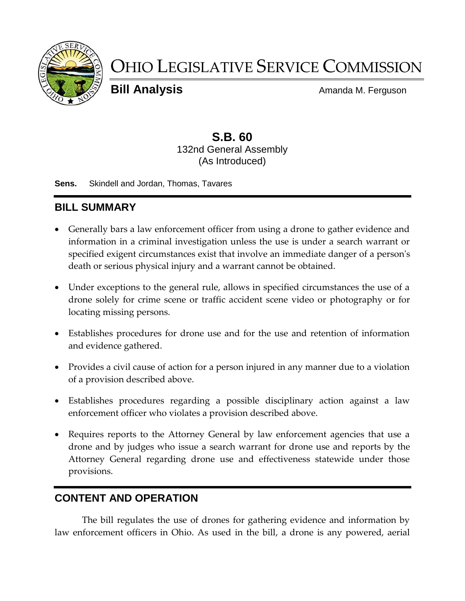

# OHIO LEGISLATIVE SERVICE COMMISSION

**Bill Analysis Bill Analysis** Amanda M. Ferguson

## **S.B. 60** 132nd General Assembly (As Introduced)

**Sens.** Skindell and Jordan, Thomas, Tavares

## **BILL SUMMARY**

- Generally bars a law enforcement officer from using a drone to gather evidence and information in a criminal investigation unless the use is under a search warrant or specified exigent circumstances exist that involve an immediate danger of a person's death or serious physical injury and a warrant cannot be obtained.
- Under exceptions to the general rule, allows in specified circumstances the use of a drone solely for crime scene or traffic accident scene video or photography or for locating missing persons.
- Establishes procedures for drone use and for the use and retention of information and evidence gathered.
- Provides a civil cause of action for a person injured in any manner due to a violation of a provision described above.
- Establishes procedures regarding a possible disciplinary action against a law enforcement officer who violates a provision described above.
- Requires reports to the Attorney General by law enforcement agencies that use a drone and by judges who issue a search warrant for drone use and reports by the Attorney General regarding drone use and effectiveness statewide under those provisions.

# **CONTENT AND OPERATION**

The bill regulates the use of drones for gathering evidence and information by law enforcement officers in Ohio. As used in the bill, a drone is any powered, aerial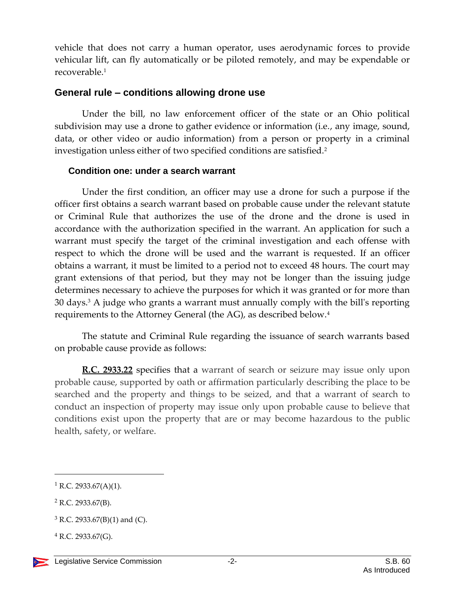vehicle that does not carry a human operator, uses aerodynamic forces to provide vehicular lift, can fly automatically or be piloted remotely, and may be expendable or recoverable.<sup>1</sup>

#### **General rule – conditions allowing drone use**

Under the bill, no law enforcement officer of the state or an Ohio political subdivision may use a drone to gather evidence or information (i.e., any image, sound, data, or other video or audio information) from a person or property in a criminal investigation unless either of two specified conditions are satisfied.<sup>2</sup>

#### **Condition one: under a search warrant**

Under the first condition, an officer may use a drone for such a purpose if the officer first obtains a search warrant based on probable cause under the relevant statute or Criminal Rule that authorizes the use of the drone and the drone is used in accordance with the authorization specified in the warrant. An application for such a warrant must specify the target of the criminal investigation and each offense with respect to which the drone will be used and the warrant is requested. If an officer obtains a warrant, it must be limited to a period not to exceed 48 hours. The court may grant extensions of that period, but they may not be longer than the issuing judge determines necessary to achieve the purposes for which it was granted or for more than 30 days.<sup>3</sup> A judge who grants a warrant must annually comply with the bill's reporting requirements to the Attorney General (the AG), as described below.<sup>4</sup>

The statute and Criminal Rule regarding the issuance of search warrants based on probable cause provide as follows:

**R.C. 2933.22** specifies that a warrant of search or seizure may issue only upon probable cause, supported by oath or affirmation particularly describing the place to be searched and the property and things to be seized, and that a warrant of search to conduct an inspection of property may issue only upon probable cause to believe that conditions exist upon the property that are or may become hazardous to the public health, safety, or welfare.

<sup>&</sup>lt;sup>1</sup> R.C. 2933.67(A)(1).

 $2$  R.C. 2933.67(B).

 $3$  R.C. 2933.67(B)(1) and (C).

 $4$  R.C. 2933.67(G).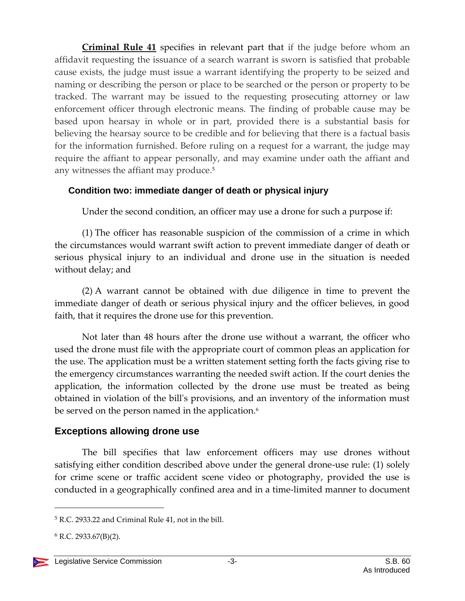**Criminal Rule 41** specifies in relevant part that if the judge before whom an affidavit requesting the issuance of a search warrant is sworn is satisfied that probable cause exists, the judge must issue a warrant identifying the property to be seized and naming or describing the person or place to be searched or the person or property to be tracked. The warrant may be issued to the requesting prosecuting attorney or law enforcement officer through electronic means. The finding of probable cause may be based upon hearsay in whole or in part, provided there is a substantial basis for believing the hearsay source to be credible and for believing that there is a factual basis for the information furnished. Before ruling on a request for a warrant, the judge may require the affiant to appear personally, and may examine under oath the affiant and any witnesses the affiant may produce.<sup>5</sup>

#### **Condition two: immediate danger of death or physical injury**

Under the second condition, an officer may use a drone for such a purpose if:

(1) The officer has reasonable suspicion of the commission of a crime in which the circumstances would warrant swift action to prevent immediate danger of death or serious physical injury to an individual and drone use in the situation is needed without delay; and

(2) A warrant cannot be obtained with due diligence in time to prevent the immediate danger of death or serious physical injury and the officer believes, in good faith, that it requires the drone use for this prevention.

Not later than 48 hours after the drone use without a warrant, the officer who used the drone must file with the appropriate court of common pleas an application for the use. The application must be a written statement setting forth the facts giving rise to the emergency circumstances warranting the needed swift action. If the court denies the application, the information collected by the drone use must be treated as being obtained in violation of the bill's provisions, and an inventory of the information must be served on the person named in the application.<sup>6</sup>

## **Exceptions allowing drone use**

The bill specifies that law enforcement officers may use drones without satisfying either condition described above under the general drone-use rule: (1) solely for crime scene or traffic accident scene video or photography, provided the use is conducted in a geographically confined area and in a time-limited manner to document

<sup>5</sup> R.C. 2933.22 and Criminal Rule 41, not in the bill.

 $6$  R.C. 2933.67(B)(2).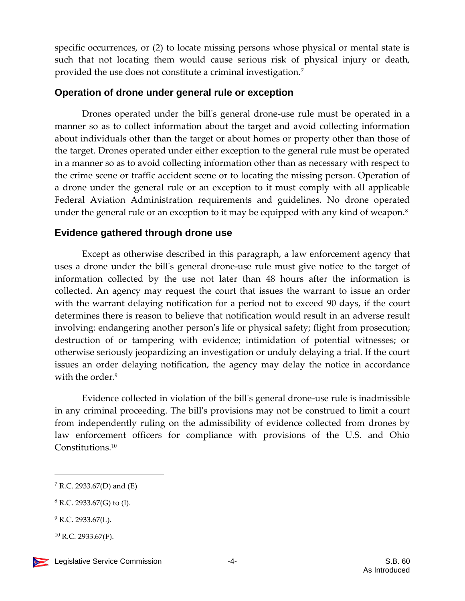specific occurrences, or (2) to locate missing persons whose physical or mental state is such that not locating them would cause serious risk of physical injury or death, provided the use does not constitute a criminal investigation.<sup>7</sup>

#### **Operation of drone under general rule or exception**

Drones operated under the bill's general drone-use rule must be operated in a manner so as to collect information about the target and avoid collecting information about individuals other than the target or about homes or property other than those of the target. Drones operated under either exception to the general rule must be operated in a manner so as to avoid collecting information other than as necessary with respect to the crime scene or traffic accident scene or to locating the missing person. Operation of a drone under the general rule or an exception to it must comply with all applicable Federal Aviation Administration requirements and guidelines. No drone operated under the general rule or an exception to it may be equipped with any kind of weapon.<sup>8</sup>

## **Evidence gathered through drone use**

Except as otherwise described in this paragraph, a law enforcement agency that uses a drone under the bill's general drone-use rule must give notice to the target of information collected by the use not later than 48 hours after the information is collected. An agency may request the court that issues the warrant to issue an order with the warrant delaying notification for a period not to exceed 90 days, if the court determines there is reason to believe that notification would result in an adverse result involving: endangering another person's life or physical safety; flight from prosecution; destruction of or tampering with evidence; intimidation of potential witnesses; or otherwise seriously jeopardizing an investigation or unduly delaying a trial. If the court issues an order delaying notification, the agency may delay the notice in accordance with the order.<sup>9</sup>

Evidence collected in violation of the bill's general drone-use rule is inadmissible in any criminal proceeding. The bill's provisions may not be construed to limit a court from independently ruling on the admissibility of evidence collected from drones by law enforcement officers for compliance with provisions of the U.S. and Ohio Constitutions.<sup>10</sup>

 $7$  R.C. 2933.67(D) and (E)

 $8$  R.C. 2933.67(G) to (I).

 $9$  R.C. 2933.67(L).

 $^{10}$  R.C. 2933.67(F).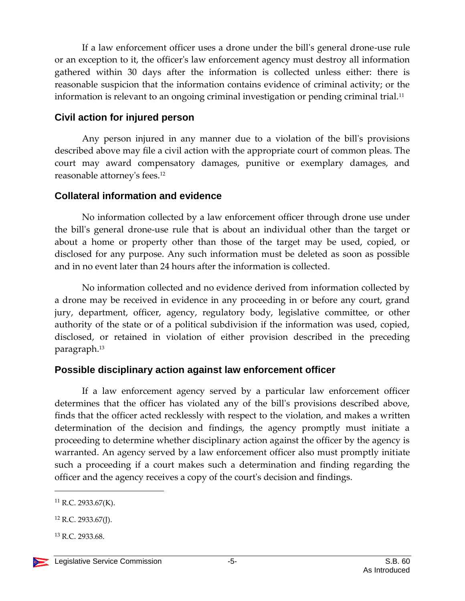If a law enforcement officer uses a drone under the bill's general drone-use rule or an exception to it, the officer's law enforcement agency must destroy all information gathered within 30 days after the information is collected unless either: there is reasonable suspicion that the information contains evidence of criminal activity; or the information is relevant to an ongoing criminal investigation or pending criminal trial.<sup>11</sup>

### **Civil action for injured person**

Any person injured in any manner due to a violation of the bill's provisions described above may file a civil action with the appropriate court of common pleas. The court may award compensatory damages, punitive or exemplary damages, and reasonable attorney's fees.<sup>12</sup>

## **Collateral information and evidence**

No information collected by a law enforcement officer through drone use under the bill's general drone-use rule that is about an individual other than the target or about a home or property other than those of the target may be used, copied, or disclosed for any purpose. Any such information must be deleted as soon as possible and in no event later than 24 hours after the information is collected.

No information collected and no evidence derived from information collected by a drone may be received in evidence in any proceeding in or before any court, grand jury, department, officer, agency, regulatory body, legislative committee, or other authority of the state or of a political subdivision if the information was used, copied, disclosed, or retained in violation of either provision described in the preceding paragraph.<sup>13</sup>

## **Possible disciplinary action against law enforcement officer**

If a law enforcement agency served by a particular law enforcement officer determines that the officer has violated any of the bill's provisions described above, finds that the officer acted recklessly with respect to the violation, and makes a written determination of the decision and findings, the agency promptly must initiate a proceeding to determine whether disciplinary action against the officer by the agency is warranted. An agency served by a law enforcement officer also must promptly initiate such a proceeding if a court makes such a determination and finding regarding the officer and the agency receives a copy of the court's decision and findings.

<sup>13</sup> R.C. 2933.68.

 $11$  R.C. 2933.67(K).

 $12$  R.C. 2933.67(J).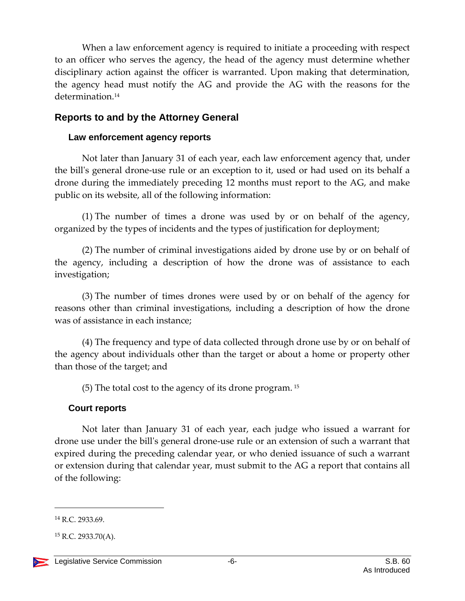When a law enforcement agency is required to initiate a proceeding with respect to an officer who serves the agency, the head of the agency must determine whether disciplinary action against the officer is warranted. Upon making that determination, the agency head must notify the AG and provide the AG with the reasons for the determination.<sup>14</sup>

### **Reports to and by the Attorney General**

#### **Law enforcement agency reports**

Not later than January 31 of each year, each law enforcement agency that, under the bill's general drone-use rule or an exception to it, used or had used on its behalf a drone during the immediately preceding 12 months must report to the AG, and make public on its website, all of the following information:

(1) The number of times a drone was used by or on behalf of the agency, organized by the types of incidents and the types of justification for deployment;

(2) The number of criminal investigations aided by drone use by or on behalf of the agency, including a description of how the drone was of assistance to each investigation;

(3) The number of times drones were used by or on behalf of the agency for reasons other than criminal investigations, including a description of how the drone was of assistance in each instance;

(4) The frequency and type of data collected through drone use by or on behalf of the agency about individuals other than the target or about a home or property other than those of the target; and

(5) The total cost to the agency of its drone program. <sup>15</sup>

#### **Court reports**

Not later than January 31 of each year, each judge who issued a warrant for drone use under the bill's general drone-use rule or an extension of such a warrant that expired during the preceding calendar year, or who denied issuance of such a warrant or extension during that calendar year, must submit to the AG a report that contains all of the following:

<sup>14</sup> R.C. 2933.69.

 $^{15}$  R.C. 2933.70(A).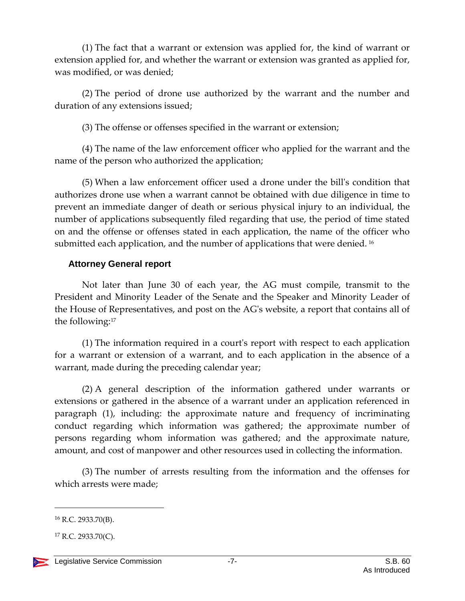(1) The fact that a warrant or extension was applied for, the kind of warrant or extension applied for, and whether the warrant or extension was granted as applied for, was modified, or was denied;

(2) The period of drone use authorized by the warrant and the number and duration of any extensions issued;

(3) The offense or offenses specified in the warrant or extension;

(4) The name of the law enforcement officer who applied for the warrant and the name of the person who authorized the application;

(5) When a law enforcement officer used a drone under the bill's condition that authorizes drone use when a warrant cannot be obtained with due diligence in time to prevent an immediate danger of death or serious physical injury to an individual, the number of applications subsequently filed regarding that use, the period of time stated on and the offense or offenses stated in each application, the name of the officer who submitted each application, and the number of applications that were denied.<sup>16</sup>

## **Attorney General report**

Not later than June 30 of each year, the AG must compile, transmit to the President and Minority Leader of the Senate and the Speaker and Minority Leader of the House of Representatives, and post on the AG's website, a report that contains all of the following:<sup>17</sup>

(1) The information required in a court's report with respect to each application for a warrant or extension of a warrant, and to each application in the absence of a warrant, made during the preceding calendar year;

(2) A general description of the information gathered under warrants or extensions or gathered in the absence of a warrant under an application referenced in paragraph (1), including: the approximate nature and frequency of incriminating conduct regarding which information was gathered; the approximate number of persons regarding whom information was gathered; and the approximate nature, amount, and cost of manpower and other resources used in collecting the information.

(3) The number of arrests resulting from the information and the offenses for which arrests were made;

 $16$  R.C. 2933.70(B).

 $^{17}$  R.C. 2933.70(C).